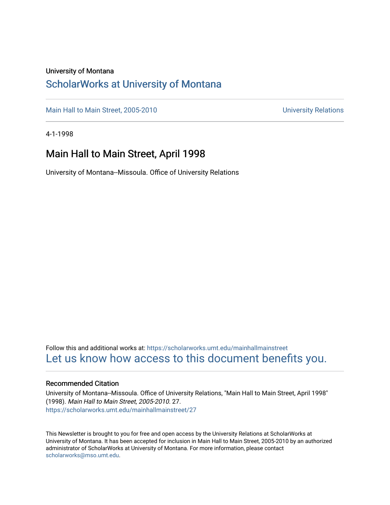#### University of Montana

## [ScholarWorks at University of Montana](https://scholarworks.umt.edu/)

[Main Hall to Main Street, 2005-2010](https://scholarworks.umt.edu/mainhallmainstreet) Main Hall to Main Street, 2005-2010

4-1-1998

## Main Hall to Main Street, April 1998

University of Montana--Missoula. Office of University Relations

Follow this and additional works at: [https://scholarworks.umt.edu/mainhallmainstreet](https://scholarworks.umt.edu/mainhallmainstreet?utm_source=scholarworks.umt.edu%2Fmainhallmainstreet%2F27&utm_medium=PDF&utm_campaign=PDFCoverPages) [Let us know how access to this document benefits you.](https://goo.gl/forms/s2rGfXOLzz71qgsB2) 

#### Recommended Citation

University of Montana--Missoula. Office of University Relations, "Main Hall to Main Street, April 1998" (1998). Main Hall to Main Street, 2005-2010. 27. [https://scholarworks.umt.edu/mainhallmainstreet/27](https://scholarworks.umt.edu/mainhallmainstreet/27?utm_source=scholarworks.umt.edu%2Fmainhallmainstreet%2F27&utm_medium=PDF&utm_campaign=PDFCoverPages) 

This Newsletter is brought to you for free and open access by the University Relations at ScholarWorks at University of Montana. It has been accepted for inclusion in Main Hall to Main Street, 2005-2010 by an authorized administrator of ScholarWorks at University of Montana. For more information, please contact [scholarworks@mso.umt.edu.](mailto:scholarworks@mso.umt.edu)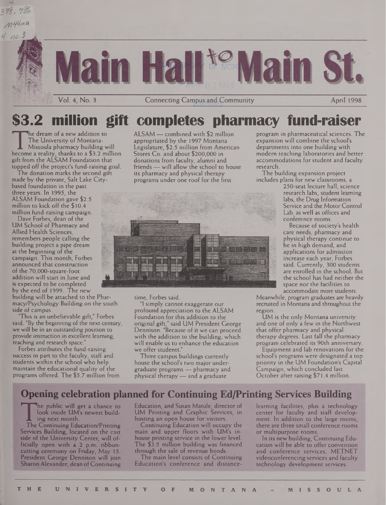

## **\$3.2 million gift completes pharmacy fund-raiser**

The University of Montana-<br>
Missoula pharmacy building will<br>
become a reality, thanks to a \$3.2 million S<br>
gift from the ALSAM Foundation that he dream of a new addition to The University of Montana-Missoula pharmacy building will gift from the ALSAM Foundation that topped off the project's fund-raising goal.

The donation marks the second gift made by the private, Salt Lake Citybased foundation in the past three years. In 1995, the ALSAM Foundation gave \$2.5 million to kick off the \$10.4 million fund-raising campaign.

Dave Forbes, dean of the UM School of Pharmacy and Allied Health Sciences, remembers people calling the building project a pipe dream at the beginning of the campaign. This month, Forbes announced that construction of the 70,000-square-foot addition will start in June and is expected to be completed by the end of 1999. The new

building will be attached to the Pharmacy/Psychology Building on the south side of campus.

'This is an unbelievable gift," Forbes said. "By the beginning of the next century, we will be in an outstanding position to provide instruction in excellent learning, teaching and research space."

Forbes attributes the fund-raising success in part to the faculty, staff and students within the school who help maintain the educational quality of the programs offered. The \$5.7 million from ALSAM — combined with \$2 million appropriated by the 1997 Montana Legislature, \$2.5 million from American Stores Co. and about \$200,000 in donations from faculty, alumni and friends — will allow the school to house its pharmacy and physical therapy programs under one roof for the first



time, Forbes said.

"1 simply cannot exaggerate our profound appreciation to the ALSAM Foundation for this addition to the original gift," said UM President George Dennison. "Because of it we can proceed with the addition to the building, which will enable us to enhance the education we offer students."

Three campus buildings currently house the school's two major undergraduate programs — pharmacy and physical therapy — and a graduate

program in pharmaceutical sciences. The expansion will combine the school's departments into one building with modern teaching laboratories and better accommodations for student and faculty research.

The building expansion project includes plans for new classrooms, a

250-seat lecture hall, science research labs, student learning labs, the Drug Information Service and the Motor Control Lab, as well as offices and conference rooms.

Because of society's health care needs, pharmacy and physical therapy continue to be in high demand, and applications for admission increase each year, Forbes said. Currently, 300 students are enrolled in the school. But the school has had neither the space nor the facilities to accommodate more students.

Meanwhile, program graduates are heavily recruited in Montana and throughout the region.

UM is the only Montana university and one of only a few in the Northwest that offer pharmacy and physical therapy degrees. Last fall the pharmacy program celebrated its 90th anniversary.

Equipment and lab renovations for the school's programs were designated a top priority in the UM Foundation's Capital Campaign, which concluded last October after raising \$71.4 million.

## **Opening celebration planned for Continuing Ed/Printing Services Building**

look inside UM's newest building next month.<br>The Continuing Education/Printing<br>Services Building, located on the east he public will get a chance to look inside UM's newest building next month.

The Continuing Education/Printing side of the University Center, will officially open with a 2 p.m. ribboncutting ceremony on Friday, May 15. President George Dennison will join Sharon Alexander, dean of Continuing Education, and Susan Matule, director of UM Printing and Graphic Services, in hosting an open house for visitors.

Continuing Education will occupy the main and upper floors with UM's inhouse printing service in the lower level. The \$3.5 million building was financed through the sale of revenue bonds.

The main level consists of Continuing Education's conference and distancelearning facilities, plus a technology center for faculty and staff development. In addition to the large rooms, there are three small conference rooms or multipurpose rooms.

In its new building, Continuing Education will be able to offer convention and conference services, METNET videoconferencing services and faculty technology development services.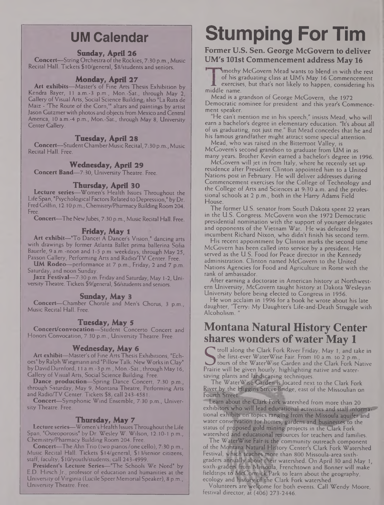## **UM Calendar**

#### **Sunday, April 26**

**Concert**—String Orchestra of the Rockies, 7:30 p.m., Music Recital Hall. Tickets \$10/general, \$8/students and seniors.

#### **Monday, April 27**

**Art exhibits—**Master's of Fine Arts Thesis Exhibition by Kendra Bayer, 11 a.m.-3 p.m., Mon.-Sat., through May 2, Gallery of Visual Arts, Social Science Building,, also "La Ruta de Maiz - 'The Route of the Corn,"' altars and paintings by artist Jason Gutzmer with photos and objects from Mexico and Central America, 10 a.m.-4 p.m., Mon.-Sat., through May 8, University Center Gallery.

#### **Tuesday, April 28**

**Concert—**StudentChamberMusic Recital, 7:30 p.m., Music Recital Hall. Free.

#### **Wednesday, April 29**

**Concert Band—**7:30, University Theatre. Free.

#### **Thursday, April 30**

**Lecture series—**Women's Health Issues Throughout the Life Span, "Psychological Factors Related toDepression," by Dr. FredGriffin, 12:10 p.m., Chemistry/Pharmacy Building Room 204. Free.

**Concert—**The NewJubes, 7:30 p.m., Music Recital Hall. Free.

#### **Friday, May 1**

**Art exhibit—**"To Dancel A Dancer's Vision," dancing arts with drawings by former Atlanta Ballet prima ballerina Sofia Bauerle, 9 a.m.-noon and 1-5 p.m. weekdays, through May 25, Paxson Gallery, Performing Arts and Radio/TV Center. Free.

**UM Rodeo**—performance at 7 p.m., Friday, 2 and 7 p.m. Saturday, and noon Sunday.

**Jazz Festival—**7:30 p.m. Friday and Saturday, May <sup>1</sup> -2, University Theatre. Tickets \$9/general, \$6/students and seniors.

#### **Sunday, May 3**

**Concert—**Chamber Chorale and Men's Chorus, 3 p.m., Music Recital Hall. Free.

#### **Tuesday, May 5**

**Concert/convocation—**Student Concerto Concert and Honors Convocation, 7:30 p.m., University Theatre. Free.

#### **Wednesday, May 6**

**Art exhibit—**Master's of Fine Arts Thesis Exhibitions, "Echoes" by Ralph Wiegmann and "PillowTalk: New Works in Clay" by David Durnford, 11 a.m.-3 p.m., Mon.-Sat., through May 16, Gallery of Visual Arts, Social Science Building. Free.

**Dance production—**Spring Dance Concert, 7:30 p.m., through Saturday, May 9, Montana Theatre, Performing Arts and Radio/TV Center. Tickets \$8; call 243-4581.

**Concert—**Symphonic Wind Ensemble, 7:30 p.m., University Theatre. Free.

#### **Thursday, May 7**

**Lecture series—**Women's Health IssuesThroughoutthe Life Span, "Osteoporosis" by Dr. Wesley W. Wilson, 12:10-1 p.m., Chemistry/Pharmacy Building Room 204. Free.

**Concert—The Ahn Trio (two pianos/one cello), 7:30 p.m.,** Music Recital Hall. Tickets \$14/general, \$13/senior citizens, staff, faculty,  $$10$ /youth/students, call 243-4999.

President's Lecture Series-"The Schools We Need" by E.D. Hirsch Jr., professor of education and humanities at the University of Virginia (Lucile Speer Memorial Speaker), 8 p.m., University Theatre. Free.

## **Stumping For Tim**

#### **Former U.S. Sen. George McGovern to deliver UM's 101st Commencement address May 16**

Imothy McGovern Mead wants to blend in with the rest of his graduating class at UM's May 16 Commencement exercises, but that's not likely to happen, considering his -middle name.

Mead is a grandson of George McGovern, the 1972 Democratic nominee for president and this year's Commencement speaker.

"He can't mention me in his speech," insists Mead, who will earn a bachelor's degree in elementary education. "It's about all of us graduating, not just me." But Mead concedes that he and his famous grandfather might attract some special attention.

Mead, who was raised in the Bitterroot Valley, is McGovern's second grandson to graduate from UM in as many years. Brother Kevin earned a bachelor's degree in 1996.

McGovern will jet in from Italy, where he recently set up residence after President Clinton appointed him to a United Nations post in February. He will deliver addresses during Commencement exercises for the College of Technology and the College of Arts and Sciences at 9:30 a.m. and the professional schools at 2 p.m., both in the Harry Adams Field House.

The former U.S. senator from South Dakota spent 22 years in the U.S. Congress. McGovern won the 1972 Democratic presidential nomination with the support of younger delegates and opponents of the Vietnam War. He was defeated by incumbent Richard Nixon, who didn't finish his second term.

His recent appointment by Clinton marks the second time McGovern has been called into service by a president. He served as the U.S. Food for Peace director in the Kennedy administration. Clinton named McGovern to the United Nations Agencies for Food and Agriculture in Rome with the rank of ambassador.

After earning a doctorate in American history at Northwestern University, McGovern taught history at Dakota Wesleyan University before being elected to Congress in 1956.

He won acclaim in 1996 for a book he wrote about his late daughter, 'Terry: My Daughter's **Life-and-Death** Struggle with Alcoholism. "

## **Montana Natural History Center shares wonders ofwater May 1**

I troll along the Clark Fork River Friday, May 1, and take in the first-ever WaterWise Fair. From 10 a.m. to 2 p.m. tours of the WaterWise Garden and the Clark Fork Native Prairie will be given hourly, highlighting native and watersaving plants and landscaping techniques.

The WaterWise Garden is located next to the Clark Fork River by the Higgins Street Bridge, east of the Missoulian on Fourth Street.

Learn about the Clark Fork watershed from more than 20 exhibitors who will lead educational activities and staff informational exhibits on'topics ranging from the Missoula aquifer and water conservation for homes, gardens and businesses to the status of proposed gold mining projects in the Clark Fork watershed and educational resources for teachers and families.

The **WaterWise Fair is the** community outreach component of the **Montana Natural** Fjistory Center's Clark Fork Watershed Festival, **which teaches more** than 800 Missoula-area sixthgraders annually about their watershed. On April 30 and May 1, sixth-graders from Missoula, Frenchtown and Bonner will make fieldtrips to McCormick Park to learn about the geography, ecology and **history of the** Clark Fork watershed.

Volunteers are welcome for both events. Call Wendy Moore, festival director, at (406) 273-2446.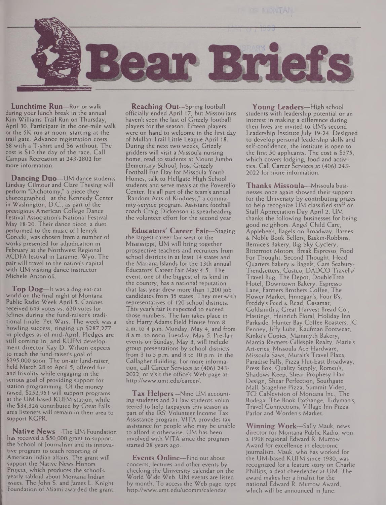

**Lunchtime Run—**Run or walk during your lunch break in the annual Kim Williams Trail Run on Thursday, April 30. Participate in the one-mile walk or the 5K run at noon, starting at the trail gate. Advance registration costs \$8 with a T-shirt and \$6 without. The cost is \$10 the day of the race. Call Campus Recreation at 243-2802 for more information.

**Dancing Duo—**UM dance students Lindsay Gilmour and Clare Thesing will perform "Dichotomy," a piece they choreographed, at the Kennedy Center in Washington, D.C., as part of the prestigious American College Dance Festival Association's National Festival May 18-20. Their dance piece, a duet performed to the music of Henryk Gorecki, was chosen from a number of works presented for adjudication in February at the Northwest Regional ACDFA festival in Laramie, Wyo. The pair will travel to the nation's capital with UM visiting dance instructor Michele Antonioli.

**Top Dog—**It was <sup>a</sup> dog-eat-cat world on the final night of Montana Public Radio Week April 5. Canines received 649 votes vs. 620 votes for felines during the fund-raiser's traditional finale, Pet Wars. The week was a howling success, ringing up \$287,277 in pledges as of mid-April. Pledges are still coming in, and KUFM development director Kay D. Wilson expects to reach the fund-raiser's goal of \$295,000 soon. The on-air fund-raiser, held March 28 to April 5, offered fun and frivolity while engaging in the serious goal of providing support for station programming. Of the money raised, \$252,951 will support programs at the UM-based KUFM station, while the \$34,326 contributed by Great Fallsarea listeners will remain in their area to support KGPR.

**Native News—**The UM Foundation has received a \$50,000 grant to support the School of Journalism and its innovative program to teach reporting of American Indian affairs. The grant will support the Native News Honors Project, which produces the school's yearly tabloid about Montana Indian issues. The John S. and James L. Knight Foundation of Miami awarded the grant.

**Reaching Out—-**Spring football officially ended April 17, but Missoulians haven't seen the last of Grizzly football players for the season. Fifteen players were on hand to welcome in the first day of Mullan Trail Little League April 18. During the next two weeks, Grizzly gridders will visit a Missoula nursing home, read to students at Mount Jumbo Elementary School, host Grizzly Football Fun Day for Missoula Youth Homes, talk to Hellgate High School students and serve meals at the Poverello Center. It's all part of the team's annual "Random Acts of Kindness," a community-service program. Assistant football coach Craig Dickenson is spearheading the volunteer effort for the second year.

**Educators' Career Fair—**Staging the largest career fair west of the Mississippi, UM will bring together prospective teachers and recruiters from school districts in at least 14 states and the Mariana Islands for the 13th annual Educators' Career Fair May 4-5. The event, one of the biggest of its kind in the country, has a national reputation that last year drew more than 1,200 job candidates from 35 states. They met with representatives of 120 school districts. This year's fair is expected to exceed those numbers. The fair takes place in the Harry Adams Field House from 8 a.m. to 4 p.m. Monday, May 4, and from 8 a.m. to noon Tuesday, May 5. Pre-fair events on Sunday, May 3, will include group presentations by school districts from 3 to 5 p.m. and 8 to 10 p.m. in the Gallagher Building. For more information, call Career Services at (406) 243- 2022, or visit the office's Web page at <http://www.umt.edu/career/>.

**Tax Helpers—**Nine UM accounting students and 21 law students volunteered to help taxpayers this season as part of the IRS' Volunteer Income Tax Assistance program. VITA provides tax assistance for people who may be unable to afford it otherwise. UM has been involved with VITA since the program started 28 years ago.

**Events Online—**Find out about concerts, lectures and other events by checking the University calendar on the World Wide Web. UM events are listed by month. To access the Web page, type <http://www.umt.edu/ucomm/calendar>.

**Young Leaders—**High school students with leadership potential or an interest in making a difference during their lives are invited to UM's second Leadership Institute July 19-24. Designed to develop personal leadership skills and self-confidence, the institute is open to the first 50 applicants. The cost is \$375, which covers lodging, food and activities. Call Career Services at (406) 243- 2022 for more information.

**Thanks Missoula—**Missoula businesses once again showed their support for the University by contributing prizes to help recognize UM classified staff on Staff Appreciation Day April 2. UM thanks the following businesses for being good neighbors: Angel Child Care, Applebee's, Bagels on Broadway, Barnes & Noble Book Sellers, Baskin-Robbins, Bernice's Bakery, Big Sky Cyclery, Bitterroot Motors, Break Espresso, Food For Thought, Second Thought, Head Quarters Bakery & Bagels, Cam Seabury-Trendsetters, Costco, DADCO Travel's/ Travel Bug, The Depot, DoubleTree Hotel, Downtown Bakery, Espresso Lane, Farmers Brothers Coffee, The Flower Market, Finnegan's, Four B's, Freddy's Feed & Read, Casamat, Goldsmith's, Great Harvest Bread Co., Hastings, Heinrich Floral, Holiday Inn Parkside, Hunter Bay Coffee Roasters, JC Penney, Jiffy Lube, Kaufman Footwear, Kinko's Copies, Mammyth Bakery, Marcia Reimers-Gillespie Realty, Marie's Art-eries, Missoula Ace Hardware, Missoula Saws, Muralt's Travel Plaza, Paradise Falls, Pizza Hut-East Broadway, Press Box, Quality Supply, Romeo's, Shadows Keep, Shear Prophesy Hair Design, Shear Perfection, Southgate Mall, Stageline Pizza, Summit Video, TCI Cablevision of Montana Inc., The Bodega, The Book Exchange, Tidyman's, Travel Connections, Village Inn Pizza Parlor and Worden's Market.

**Winning Work—**Sally Mauk, news director for Montana Public Radio, won a 1998 regional Edward R. Murrow Award for excellence in electronic journalism. Mauk, who has worked for the UM-based KUFM since 1980, was recognized for a feature story on Charlie Phillips, a deaf cheerleader at UM. The award makes her a finalist for the national Edward R. Murrow Award, which will be announced in June.